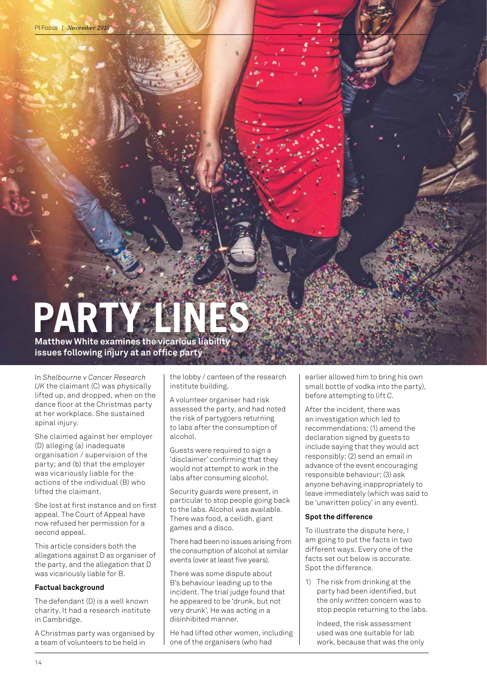# PART

**Matthew White examines the vicarious liability issues following injury at an office party**

In *Shelbourne v Cancer Research UK* the claimant (C) was physically lifted up, and dropped, when on the dance floor at the Christmas party at her workplace. She sustained spinal injury.

She claimed against her employer (D) alleging (a) inadequate organisation / supervision of the party; and (b) that the employer was vicariously liable for the actions of the individual (B) who lifted the claimant.

She lost at first instance and on first appeal. The Court of Appeal have now refused her permission for a second appeal.

This article considers both the allegations against D as organiser of the party, and the allegation that D was vicariously liable for B.

#### **Factual background**

The defendant (D) is a well known charity. It had a research institute in Cambridge.

A Christmas party was organised by a team of volunteers to be held in

the lobby / canteen of the research institute building.

A volunteer organiser had risk assessed the party, and had noted the risk of partygoers returning to labs after the consumption of alcohol.

Guests were required to sign a 'disclaimer' confirming that they would not attempt to work in the labs after consuming alcohol.

Security guards were present, in particular to stop people going back to the labs. Alcohol was available. There was food, a ceilidh, giant games and a disco.

There had been no issues arising from the consumption of alcohol at similar events (over at least five years).

There was some dispute about B's behaviour leading up to the incident. The trial judge found that he appeared to be 'drunk, but not very drunk'. He was acting in a disinhibited manner.

He had lifted other women, including one of the organisers (who had

earlier allowed him to bring his own small bottle of vodka into the party), before attempting to lift C.

After the incident, there was an investigation which led to recommendations: (1) amend the declaration signed by guests to include saying that they would act responsibly; (2) send an email in advance of the event encouraging responsible behaviour; (3) ask anyone behaving inappropriately to leave immediately (which was said to be 'unwritten policy' in any event).

#### **Spot the difference**

To illustrate the dispute here, I am going to put the facts in two different ways. Every one of the facts set out below is accurate. Spot the difference.

1) The risk from drinking at the party had been identified, but the only *written* concern was to stop people returning to the labs.

Indeed, the risk assessment used was one suitable for lab work, because that was the only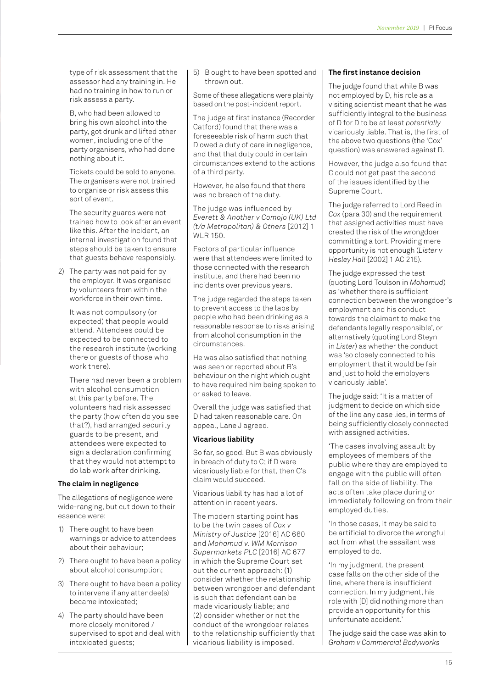type of risk assessment that the assessor had any training in. He had no training in how to run or risk assess a party.

B, who had been allowed to bring his own alcohol into the party, got drunk and lifted other women, including one of the party organisers, who had done nothing about it.

Tickets could be sold to anyone. The organisers were not trained to organise or risk assess this sort of event.

The security guards were not trained how to look after an event like this. After the incident, an internal investigation found that steps should be taken to ensure that guests behave responsibly.

2) The party was not paid for by the employer. It was organised by volunteers from within the workforce in their own time.

> It was not compulsory (or expected) that people would attend. Attendees could be expected to be connected to the research institute (working there or guests of those who work there).

There had never been a problem with alcohol consumption at this party before. The volunteers had risk assessed the party (how often do you see that?), had arranged security guards to be present, and attendees were expected to sign a declaration confirming that they would not attempt to do lab work after drinking.

#### **The claim in negligence**

The allegations of negligence were wide-ranging, but cut down to their essence were:

- 1) There ought to have been warnings or advice to attendees about their behaviour;
- 2) There ought to have been a policy about alcohol consumption;
- 3) There ought to have been a policy to intervene if any attendee(s) became intoxicated;
- 4) The party should have been more closely monitored / supervised to spot and deal with intoxicated guests;

5) B ought to have been spotted and thrown out.

Some of these allegations were plainly based on the post-incident report.

The judge at first instance (Recorder Catford) found that there was a foreseeable risk of harm such that D owed a duty of care in negligence, and that that duty could in certain circumstances extend to the actions of a third party.

However, he also found that there was no breach of the duty.

The judge was influenced by *Everett & Another v Comojo (UK) Ltd (t/a Metropolitan) & Others* [2012] 1 WLR 150.

Factors of particular influence were that attendees were limited to those connected with the research institute, and there had been no incidents over previous years.

The judge regarded the steps taken to prevent access to the labs by people who had been drinking as a reasonable response to risks arising from alcohol consumption in the circumstances.

He was also satisfied that nothing was seen or reported about B's behaviour on the night which ought to have required him being spoken to or asked to leave.

Overall the judge was satisfied that D had taken reasonable care. On appeal, Lane J agreed.

#### **Vicarious liability**

So far, so good. But B was obviously in breach of duty to C; if D were vicariously liable for that, then C's claim would succeed.

Vicarious liability has had a lot of attention in recent years.

The modern starting point has to be the twin cases of *Cox v Ministry of Justice* [2016] AC 660 and *Mohamud v. WM Morrison Supermarkets PLC* [2016] AC 677 in which the Supreme Court set out the current approach: (1) consider whether the relationship between wrongdoer and defendant is such that defendant can be made vicariously liable; and (2) consider whether or not the conduct of the wrongdoer relates to the relationship sufficiently that vicarious liability is imposed.

#### **The first instance decision**

The judge found that while B was not employed by D, his role as a visiting scientist meant that he was sufficiently integral to the business of D for D to be at least *potentially* vicariously liable. That is, the first of the above two questions (the 'Cox' question) was answered against D.

However, the judge also found that C could not get past the second of the issues identified by the Supreme Court.

The judge referred to Lord Reed in *Cox* (para 30) and the requirement that assigned activities must have created the risk of the wrongdoer committing a tort. Providing mere opportunity is not enough (*Lister v Hesley Hall* [2002] 1 AC 215).

The judge expressed the test (quoting Lord Toulson in *Mohamud*) as 'whether there is sufficient connection between the wrongdoer's employment and his conduct towards the claimant to make the defendants legally responsible', or alternatively (quoting Lord Steyn in *Lister*) as whether the conduct was 'so closely connected to his employment that it would be fair and just to hold the employers vicariously liable'.

The judge said: 'It is a matter of judgment to decide on which side of the line any case lies, in terms of being sufficiently closely connected with assigned activities.

'The cases involving assault by employees of members of the public where they are employed to engage with the public will often fall on the side of liability. The acts often take place during or immediately following on from their employed duties.

'In those cases, it may be said to be artificial to divorce the wrongful act from what the assailant was employed to do.

'In my judgment, the present case falls on the other side of the line, where there is insufficient connection. In my judgment, his role with [D] did nothing more than provide an opportunity for this unfortunate accident.'

The judge said the case was akin to *Graham v Commercial Bodyworks*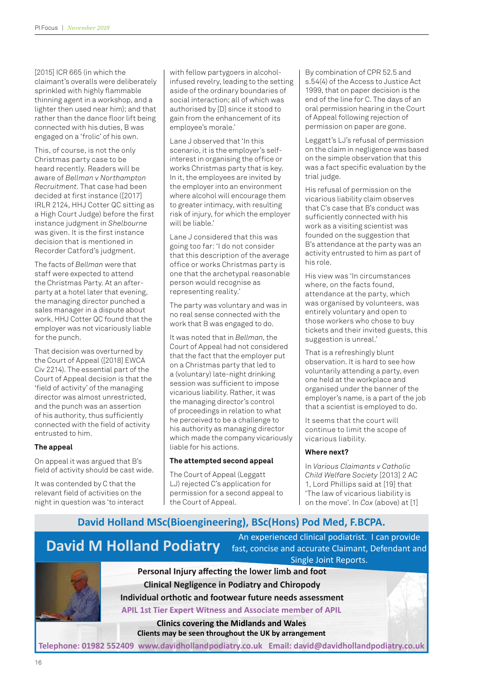[2015] ICR 665 (in which the claimant's overalls were deliberately sprinkled with highly flammable thinning agent in a workshop, and a lighter then used near him); and that rather than the dance floor lift being connected with his duties, B was engaged on a 'frolic' of his own.

This, of course, is not the only Christmas party case to be heard recently. Readers will be aware of *Bellman v Northampton Recruitment*. That case had been decided at first instance ([2017] IRLR 2124, HHJ Cotter QC sitting as a High Court Judge) before the first instance judgment in *Shelbourne* was given. It is the first instance decision that is mentioned in Recorder Catford's judgment.

The facts of *Bellman* were that staff were expected to attend the Christmas Party. At an afterparty at a hotel later that evening, the managing director punched a sales manager in a dispute about work. HHJ Cotter QC found that the employer was not vicariously liable for the punch.

That decision was overturned by the Court of Appeal ([2018] EWCA Civ 2214). The essential part of the Court of Appeal decision is that the 'field of activity' of the managing director was almost unrestricted, and the punch was an assertion of his authority, thus sufficiently connected with the field of activity entrusted to him.

#### **The appeal**

On appeal it was argued that B's field of activity should be cast wide.

It was contended by C that the relevant field of activities on the night in question was 'to interact with fellow partygoers in alcoholinfused revelry, leading to the setting aside of the ordinary boundaries of social interaction; all of which was authorised by [D] since it stood to gain from the enhancement of its employee's morale.'

Lane J observed that 'In this scenario, it is the employer's selfinterest in organising the office or works Christmas party that is key. In it, the employees are invited by the employer into an environment where alcohol will encourage them to greater intimacy, with resulting risk of injury, for which the employer will be liable.'

Lane J considered that this was going too far: 'I do not consider that this description of the average office or works Christmas party is one that the archetypal reasonable person would recognise as representing reality.'

The party was voluntary and was in no real sense connected with the work that B was engaged to do.

It was noted that in *Bellman*, the Court of Appeal had not considered that the fact that the employer put on a Christmas party that led to a (voluntary) late-night drinking session was sufficient to impose vicarious liability. Rather, it was the managing director's control of proceedings in relation to what he perceived to be a challenge to his authority as managing director which made the company vicariously liable for his actions.

#### **The attempted second appeal**

The Court of Appeal (Leggatt LJ) rejected C's application for permission for a second appeal to the Court of Appeal.

By combination of CPR 52.5 and s.54(4) of the Access to Justice Act 1999, that on paper decision is the end of the line for C. The days of an oral permission hearing in the Court of Appeal following rejection of permission on paper are gone.

Leggatt's LJ's refusal of permission on the claim in negligence was based on the simple observation that this was a fact specific evaluation by the trial judge.

His refusal of permission on the vicarious liability claim observes that C's case that B's conduct was sufficiently connected with his work as a visiting scientist was founded on the suggestion that B's attendance at the party was an activity entrusted to him as part of his role.

His view was 'In circumstances where, on the facts found, attendance at the party, which was organised by volunteers, was entirely voluntary and open to those workers who chose to buy tickets and their invited guests, this suggestion is unreal.'

That is a refreshingly blunt observation. It is hard to see how voluntarily attending a party, even one held at the workplace and organised under the banner of the employer's name, is a part of the job that a scientist is employed to do.

It seems that the court will continue to limit the scope of vicarious liability.

#### **Where next?**

In *Various Claimants v Catholic Child Welfare Society* [2013] 2 AC 1, Lord Phillips said at [19] that 'The law of vicarious liability is on the move'. In *Cox* (above) at [1]

### **David Holland MSc(Bioengineering), BSc(Hons) Pod Med, F.BCPA.**



An experienced clinical podiatrist. I can provide fast, concise and accurate Claimant, Defendant and Single Joint Reports.

**APIL 1st Tier Expert Witness and Associate member of APIL Personal Injury affecting the lower limb and foot Clinical Negligence in Podiatry and Chiropody Individual orthotic and footwear future needs assessment**

**Clinics covering the Midlands and Wales Clients may be seen throughout the UK by arrangement**

**Telephone: 01982 552409 www.davidhollandpodiatry.co.uk Email: david@davidhollandpodiatry.co.uk**